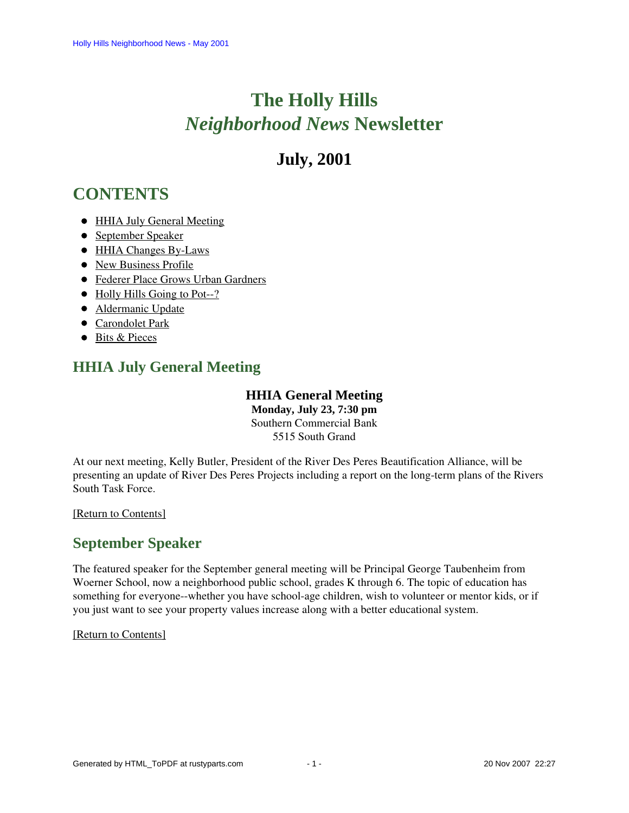# **The Holly Hills**  *Neighborhood News* **Newsletter**

# **July, 2001**

# <span id="page-0-3"></span>**CONTENTS**

- [HHIA July General Meeting](#page-0-0)
- [September Speaker](#page-0-1)
- [HHIA Changes By-Laws](#page-0-2)
- [New Business Profile](#page-1-0)
- [Federer Place Grows Urban Gardners](#page-2-0)
- [Holly Hills Going to Pot--?](#page-2-1)
- **[Aldermanic Update](#page-2-2)**
- [Carondolet Park](#page-3-0)
- [Bits & Pieces](#page-3-1)

# <span id="page-0-0"></span>**HHIA July General Meeting**

### **HHIA General Meeting**

**Monday, July 23, 7:30 pm** Southern Commercial Bank 5515 South Grand

At our next meeting, Kelly Butler, President of the River Des Peres Beautification Alliance, will be presenting an update of River Des Peres Projects including a report on the long-term plans of the Rivers South Task Force.

<span id="page-0-1"></span>[\[Return to Contents\]](#page-0-3) 

## **September Speaker**

The featured speaker for the September general meeting will be Principal George Taubenheim from Woerner School, now a neighborhood public school, grades K through 6. The topic of education has something for everyone--whether you have school-age children, wish to volunteer or mentor kids, or if you just want to see your property values increase along with a better educational system.

<span id="page-0-2"></span>[\[Return to Contents\]](#page-0-3)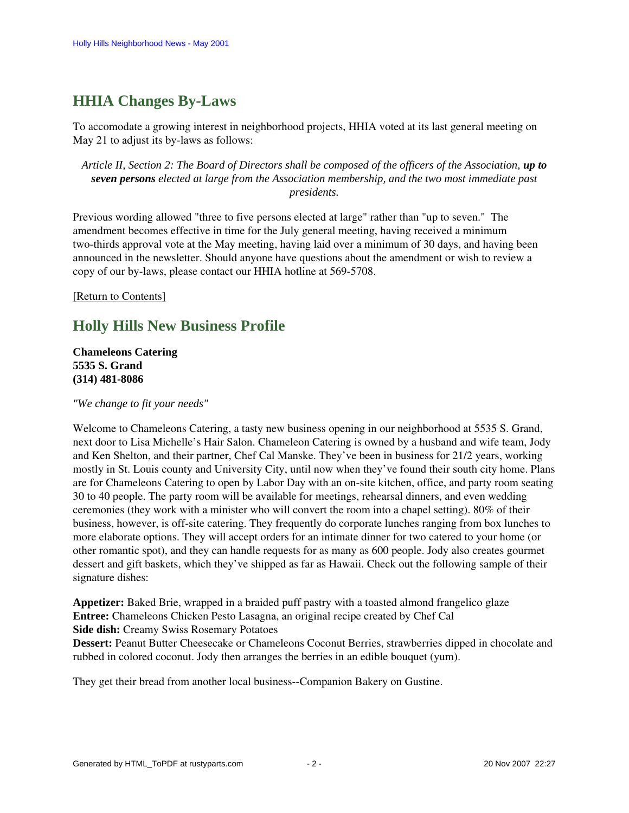# **HHIA Changes By-Laws**

To accomodate a growing interest in neighborhood projects, HHIA voted at its last general meeting on May 21 to adjust its by-laws as follows:

*Article II, Section 2: The Board of Directors shall be composed of the officers of the Association, up to seven persons elected at large from the Association membership, and the two most immediate past presidents.*

Previous wording allowed "three to five persons elected at large" rather than "up to seven." The amendment becomes effective in time for the July general meeting, having received a minimum two-thirds approval vote at the May meeting, having laid over a minimum of 30 days, and having been announced in the newsletter. Should anyone have questions about the amendment or wish to review a copy of our by-laws, please contact our HHIA hotline at 569-5708.

<span id="page-1-0"></span>[\[Return to Contents\]](#page-0-3)

## **Holly Hills New Business Profile**

#### **Chameleons Catering 5535 S. Grand (314) 481-8086**

*"We change to fit your needs"*

Welcome to Chameleons Catering, a tasty new business opening in our neighborhood at 5535 S. Grand, next door to Lisa Michelle's Hair Salon. Chameleon Catering is owned by a husband and wife team, Jody and Ken Shelton, and their partner, Chef Cal Manske. They've been in business for 21/2 years, working mostly in St. Louis county and University City, until now when they've found their south city home. Plans are for Chameleons Catering to open by Labor Day with an on-site kitchen, office, and party room seating 30 to 40 people. The party room will be available for meetings, rehearsal dinners, and even wedding ceremonies (they work with a minister who will convert the room into a chapel setting). 80% of their business, however, is off-site catering. They frequently do corporate lunches ranging from box lunches to more elaborate options. They will accept orders for an intimate dinner for two catered to your home (or other romantic spot), and they can handle requests for as many as 600 people. Jody also creates gourmet dessert and gift baskets, which they've shipped as far as Hawaii. Check out the following sample of their signature dishes:

**Appetizer:** Baked Brie, wrapped in a braided puff pastry with a toasted almond frangelico glaze **Entree:** Chameleons Chicken Pesto Lasagna, an original recipe created by Chef Cal **Side dish:** Creamy Swiss Rosemary Potatoes

**Dessert:** Peanut Butter Cheesecake or Chameleons Coconut Berries, strawberries dipped in chocolate and rubbed in colored coconut. Jody then arranges the berries in an edible bouquet (yum).

They get their bread from another local business--Companion Bakery on Gustine.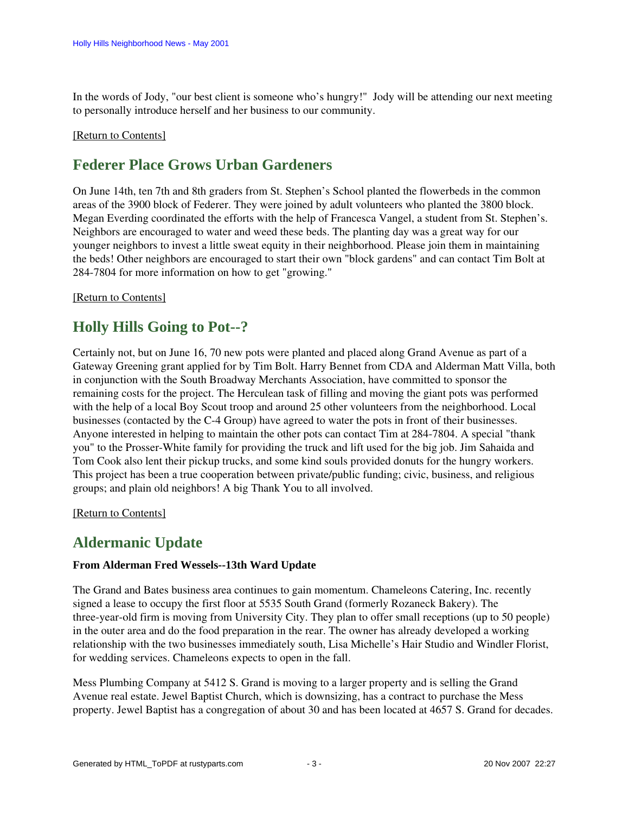In the words of Jody, "our best client is someone who's hungry!" Jody will be attending our next meeting to personally introduce herself and her business to our community.

#### <span id="page-2-0"></span>[\[Return to Contents\]](#page-0-3)

## **Federer Place Grows Urban Gardeners**

On June 14th, ten 7th and 8th graders from St. Stephen's School planted the flowerbeds in the common areas of the 3900 block of Federer. They were joined by adult volunteers who planted the 3800 block. Megan Everding coordinated the efforts with the help of Francesca Vangel, a student from St. Stephen's. Neighbors are encouraged to water and weed these beds. The planting day was a great way for our younger neighbors to invest a little sweat equity in their neighborhood. Please join them in maintaining the beds! Other neighbors are encouraged to start their own "block gardens" and can contact Tim Bolt at 284-7804 for more information on how to get "growing."

#### <span id="page-2-1"></span>[\[Return to Contents\]](#page-0-3)

### **Holly Hills Going to Pot--?**

Certainly not, but on June 16, 70 new pots were planted and placed along Grand Avenue as part of a Gateway Greening grant applied for by Tim Bolt. Harry Bennet from CDA and Alderman Matt Villa, both in conjunction with the South Broadway Merchants Association, have committed to sponsor the remaining costs for the project. The Herculean task of filling and moving the giant pots was performed with the help of a local Boy Scout troop and around 25 other volunteers from the neighborhood. Local businesses (contacted by the C-4 Group) have agreed to water the pots in front of their businesses. Anyone interested in helping to maintain the other pots can contact Tim at 284-7804. A special "thank you" to the Prosser-White family for providing the truck and lift used for the big job. Jim Sahaida and Tom Cook also lent their pickup trucks, and some kind souls provided donuts for the hungry workers. This project has been a true cooperation between private/public funding; civic, business, and religious groups; and plain old neighbors! A big Thank You to all involved.

<span id="page-2-2"></span>[\[Return to Contents\]](#page-0-3) 

### **Aldermanic Update**

#### **From Alderman Fred Wessels--13th Ward Update**

The Grand and Bates business area continues to gain momentum. Chameleons Catering, Inc. recently signed a lease to occupy the first floor at 5535 South Grand (formerly Rozaneck Bakery). The three-year-old firm is moving from University City. They plan to offer small receptions (up to 50 people) in the outer area and do the food preparation in the rear. The owner has already developed a working relationship with the two businesses immediately south, Lisa Michelle's Hair Studio and Windler Florist, for wedding services. Chameleons expects to open in the fall.

Mess Plumbing Company at 5412 S. Grand is moving to a larger property and is selling the Grand Avenue real estate. Jewel Baptist Church, which is downsizing, has a contract to purchase the Mess property. Jewel Baptist has a congregation of about 30 and has been located at 4657 S. Grand for decades.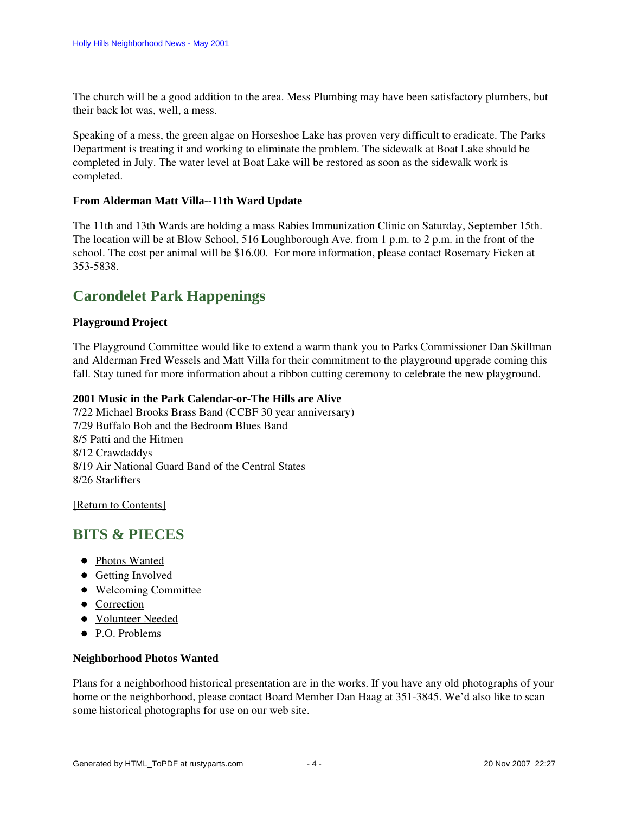The church will be a good addition to the area. Mess Plumbing may have been satisfactory plumbers, but their back lot was, well, a mess.

Speaking of a mess, the green algae on Horseshoe Lake has proven very difficult to eradicate. The Parks Department is treating it and working to eliminate the problem. The sidewalk at Boat Lake should be completed in July. The water level at Boat Lake will be restored as soon as the sidewalk work is completed.

#### **From Alderman Matt Villa--11th Ward Update**

The 11th and 13th Wards are holding a mass Rabies Immunization Clinic on Saturday, September 15th. The location will be at Blow School, 516 Loughborough Ave. from 1 p.m. to 2 p.m. in the front of the school. The cost per animal will be \$16.00. For more information, please contact Rosemary Ficken at 353-5838.

### <span id="page-3-0"></span>**Carondelet Park Happenings**

#### **Playground Project**

The Playground Committee would like to extend a warm thank you to Parks Commissioner Dan Skillman and Alderman Fred Wessels and Matt Villa for their commitment to the playground upgrade coming this fall. Stay tuned for more information about a ribbon cutting ceremony to celebrate the new playground.

#### **2001 Music in the Park Calendar-or-The Hills are Alive**

7/22 Michael Brooks Brass Band (CCBF 30 year anniversary) 7/29 Buffalo Bob and the Bedroom Blues Band 8/5 Patti and the Hitmen 8/12 Crawdaddys 8/19 Air National Guard Band of the Central States 8/26 Starlifters

[\[Return to Contents\]](#page-0-3)

### <span id="page-3-3"></span><span id="page-3-1"></span>**BITS & PIECES**

- [Photos Wanted](#page-3-2)
- [Getting Involved](#page-4-0)
- [Welcoming Committee](#page-4-1)
- [Correction](#page-4-2)
- [Volunteer Needed](#page-4-3)
- [P.O. Problems](#page-4-4)

#### <span id="page-3-2"></span>**Neighborhood Photos Wanted**

Plans for a neighborhood historical presentation are in the works. If you have any old photographs of your home or the neighborhood, please contact Board Member Dan Haag at 351-3845. We'd also like to scan some historical photographs for use on our web site.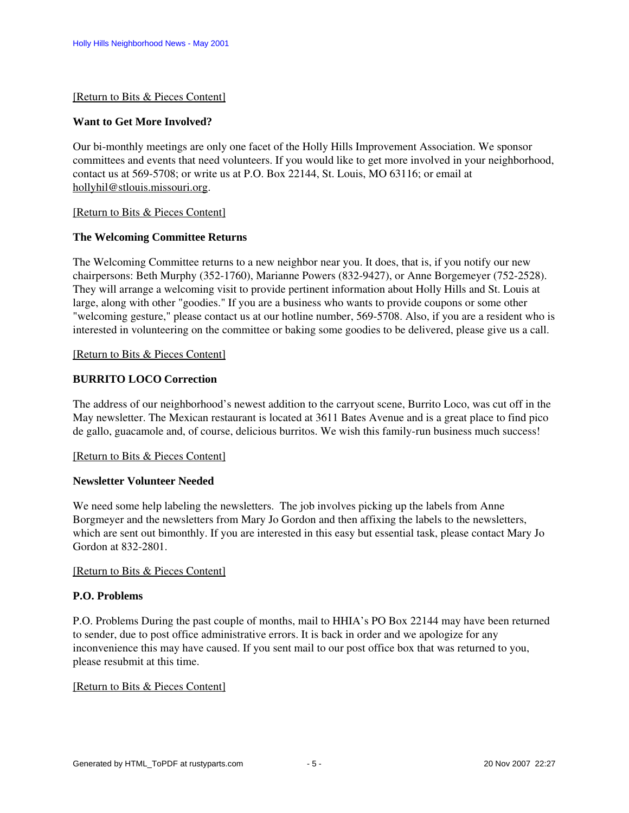#### <span id="page-4-0"></span>[\[Return to Bits & Pieces Content\]](#page-3-3)

#### **Want to Get More Involved?**

Our bi-monthly meetings are only one facet of the Holly Hills Improvement Association. We sponsor committees and events that need volunteers. If you would like to get more involved in your neighborhood, contact us at 569-5708; or write us at P.O. Box 22144, St. Louis, MO 63116; or email at hollyhil@stlouis.missouri.org.

#### <span id="page-4-1"></span>[\[Return to Bits & Pieces Content\]](#page-3-3)

#### **The Welcoming Committee Returns**

The Welcoming Committee returns to a new neighbor near you. It does, that is, if you notify our new chairpersons: Beth Murphy (352-1760), Marianne Powers (832-9427), or Anne Borgemeyer (752-2528). They will arrange a welcoming visit to provide pertinent information about Holly Hills and St. Louis at large, along with other "goodies." If you are a business who wants to provide coupons or some other "welcoming gesture," please contact us at our hotline number, 569-5708. Also, if you are a resident who is interested in volunteering on the committee or baking some goodies to be delivered, please give us a call.

#### <span id="page-4-2"></span>[\[Return to Bits & Pieces Content\]](#page-3-3)

#### **BURRITO LOCO Correction**

The address of our neighborhood's newest addition to the carryout scene, Burrito Loco, was cut off in the May newsletter. The Mexican restaurant is located at 3611 Bates Avenue and is a great place to find pico de gallo, guacamole and, of course, delicious burritos. We wish this family-run business much success!

#### <span id="page-4-3"></span>[\[Return to Bits & Pieces Content\]](#page-3-3)

#### **Newsletter Volunteer Needed**

We need some help labeling the newsletters. The job involves picking up the labels from Anne Borgmeyer and the newsletters from Mary Jo Gordon and then affixing the labels to the newsletters, which are sent out bimonthly. If you are interested in this easy but essential task, please contact Mary Jo Gordon at 832-2801.

#### <span id="page-4-4"></span>[\[Return to Bits & Pieces Content\]](#page-3-3)

#### **P.O. Problems**

P.O. Problems During the past couple of months, mail to HHIA's PO Box 22144 may have been returned to sender, due to post office administrative errors. It is back in order and we apologize for any inconvenience this may have caused. If you sent mail to our post office box that was returned to you, please resubmit at this time.

#### [\[Return to Bits & Pieces Content\]](#page-3-3)